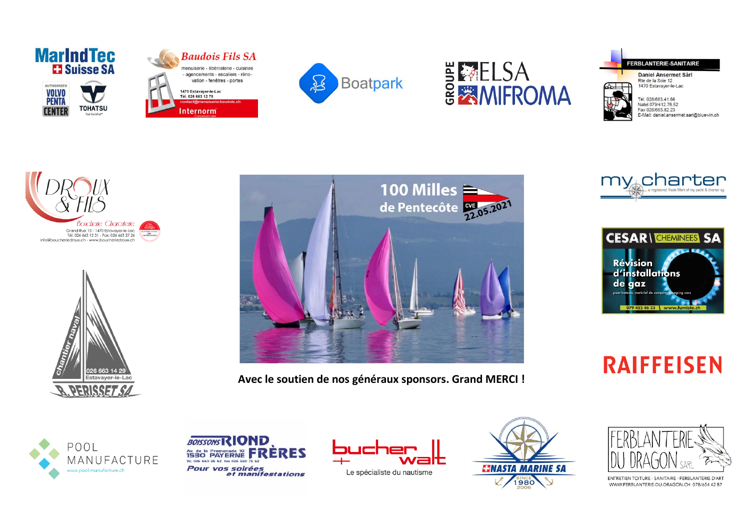











Daniel Ansermet Sàrl 1470 Estavayer-le-Lac



Natel 079/412.76.52 Fax 026/663.82.23 E-Mail: daniel.ansermet.sarl@bluewin.ch







Avec le soutien de nos généraux sponsors. Grand MERCI !





**RAIFFEISEN** 







Le spécialiste du nautisme





ENTRETIEN TOITURE - SANITAIRE - FERBLANTERIE D'ART WWW.FERBLANTERIE-DU-DRAGON.CH 078/654 42 87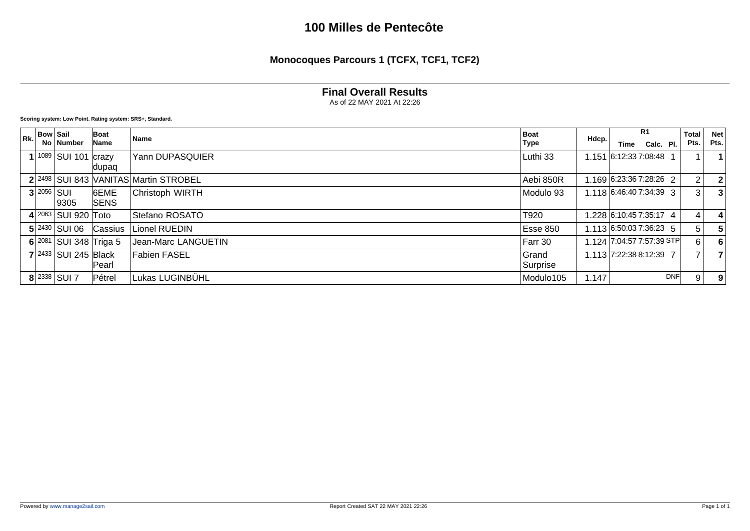**Monocoques Parcours 1 (TCFX, TCF1, TCF2)**

#### **Final Overall Results**

As of 22 MAY 2021 At 22:26

| Rk. | <b>Bow Sail</b> |                              | Boat        | Name                                  | <b>Boat</b> | Hdcp. |                           | R <sub>1</sub> |            | <b>Total</b>   | <b>Net</b> |
|-----|-----------------|------------------------------|-------------|---------------------------------------|-------------|-------|---------------------------|----------------|------------|----------------|------------|
|     |                 | No ∣ Number                  | Name        |                                       | Type        |       | Time                      | Calc. Pl.      |            | Pts.           | Pts.       |
|     |                 | 1089   SUI 101   crazy       |             | Yann DUPASQUIER                       | Luthi 33    |       | 1.151 6:12:33 7:08:48     |                |            |                |            |
|     |                 |                              | dupaq       |                                       |             |       |                           |                |            |                |            |
|     |                 |                              |             | 2 2498 SUI 843 VANITAS Martin STROBEL | Aebi 850R   |       | 1.169 6:23:36 7:28:26 2   |                |            | 2 <sub>1</sub> |            |
|     |                 | $3 2056 $ SUI                | 6EME        | Christoph WIRTH                       | Modulo 93   |       | 1.118 6:46:40 7:34:39 3   |                |            | 3 <sup>1</sup> |            |
|     |                 | 9305                         | <b>SENS</b> |                                       |             |       |                           |                |            |                |            |
|     |                 | 4 2063   SUI 920   Toto      |             | Stefano ROSATO                        | T920        |       | l .228 6:10:45 7:35:17 4  |                |            | 4              |            |
|     |                 | $5$ 2430 SUI 06              | Cassius     | Lionel RUEDIN                         | Esse 850    |       | 1.113 6:50:03 7:36:23 5   |                |            | 51             |            |
|     |                 | 6 $2081$ SUI 348 Triga 5     |             | Jean-Marc LANGUETIN                   | Farr 30     |       | 1.124 7:04:57 7:57:39 STP |                |            | 6 I            |            |
|     |                 | $7$   2433   SUI 245   Black |             | <b>Fabien FASEL</b>                   | Grand       |       | 1.113 7:22:38 8:12:39 7   |                |            |                |            |
|     |                 |                              | Pearl       |                                       | Surprise    |       |                           |                |            |                |            |
|     |                 | $8 2338 $ SUI 7              | Pétrel      | Lukas LUGINBÜHL                       | Modulo105   | 1.147 |                           |                | <b>DNF</b> | 9              | 9          |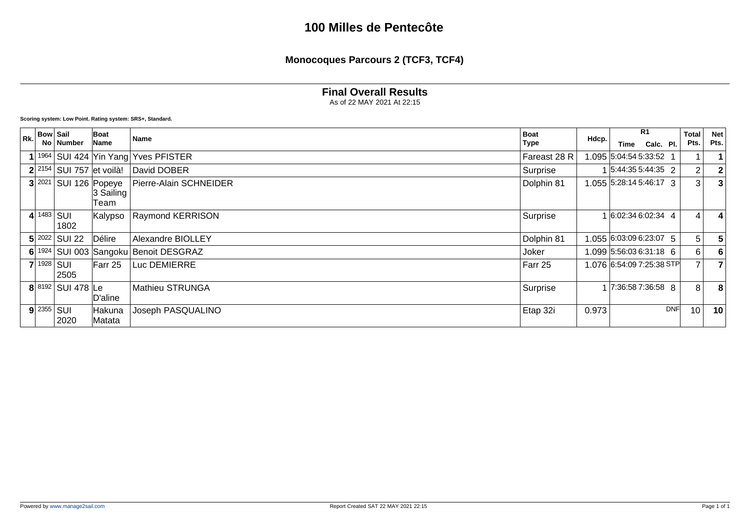**Monocoques Parcours 2 (TCF3, TCF4)**

#### **Final Overall Results**

As of 22 MAY 2021 At 22:15

| Rk. | <b>Bow Sail</b>      |                              | Boat               | <b>Name</b>                              | <b>Boat</b>  |       |                            | R <sub>1</sub> |     | <b>Total</b>    | <b>Net</b> |
|-----|----------------------|------------------------------|--------------------|------------------------------------------|--------------|-------|----------------------------|----------------|-----|-----------------|------------|
|     |                      | No   Number                  | Name               |                                          | <b>Type</b>  | Hdcp. | Time                       | Calc. Pl.      |     | Pts.            | Pts.       |
|     |                      |                              |                    | 1964   SUI 424   Yin Yang   Yves PFISTER | Fareast 28 R |       | 1.095 5:04:54 5:33:52 1    |                |     |                 |            |
|     |                      | $2^{2154}$ SUI 757 et voilà! |                    | David DOBER                              | Surprise     |       | 1 5:44:35 5:44:35 2        |                |     | 2               |            |
|     | 3 2021               | SUI 126 Popeye               | 3 Sailing<br> Team | Pierre-Alain SCHNEIDER                   | Dolphin 81   |       | 1.055 5:28:14 5:46:17 3    |                |     | 3 <sup>1</sup>  |            |
|     | $4 1483 $ SUI        | 1802                         | Kalypso            | <b>Raymond KERRISON</b>                  | Surprise     |       | 1 6:02:34 6:02:34 4        |                |     | 4               |            |
|     |                      | $5$ 2022 SUI 22              | Délire             | <b>Alexandre BIOLLEY</b>                 | Dolphin 81   |       | 1.055 6:03:09 6:23:07 5    |                |     | 5               |            |
|     |                      |                              |                    | 6 1924 SUI 003 Sangoku Benoit DESGRAZ    | Joker        |       | 1.099 5:56:03 6:31:18 6    |                |     | 6               |            |
|     |                      | $7 1928 $ SUI<br>2505        | $Farr$ 25          | Luc DEMIERRE                             | Farr 25      |       | 1.076  6:54:09 7:25:38 STP |                |     |                 |            |
|     |                      | $8 8192 $ SUI 478 Le         | D'aline            | Mathieu STRUNGA                          | Surprise     |       | 1 7:36:58 7:36:58 8        |                |     | 8               |            |
|     | $9$ 2355 $\vert$ SUI | 2020                         | Hakuna<br>Matata   | Joseph PASQUALINO                        | Etap 32i     | 0.973 |                            |                | DNF | 10 <sup>°</sup> | 10         |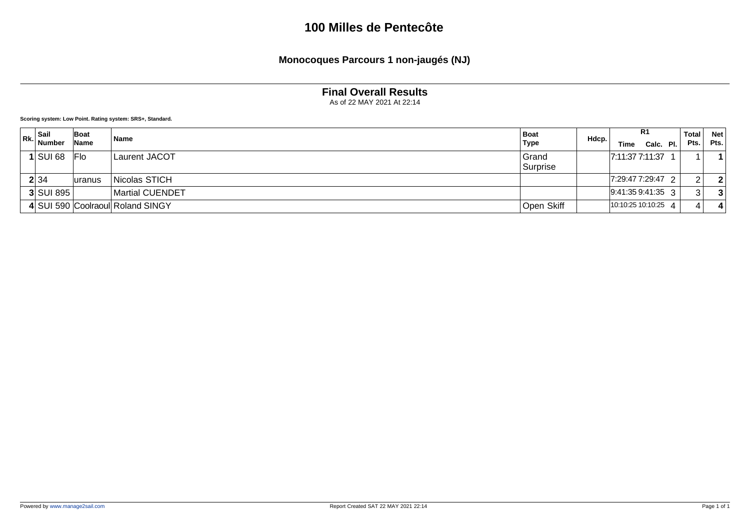#### **Monocoques Parcours 1 non-jaugés (NJ)**

#### **Final Overall Results**

As of 22 MAY 2021 At 22:14

| $\mathsf{Rk.}$ Sail<br>Number | Boat<br>Name | <b>Name</b>                      | <b>Boat</b><br>Type | Hdcp. | Time                | R <sub>1</sub><br>Calc. Pl. |                        | Total<br>Pts. | <b>Net</b><br>Pts. |
|-------------------------------|--------------|----------------------------------|---------------------|-------|---------------------|-----------------------------|------------------------|---------------|--------------------|
| $1$ SUI 68                    | Flo          | <b>Laurent JACOT</b>             | Grand<br>Surprise   |       | 7:11:37 7:11:37     |                             |                        |               |                    |
| 2 34                          | uranus       | Nicolas STICH                    |                     |       | 7:29:47 7:29:47 2   |                             |                        | ົ             |                    |
| 3 SUI 895                     |              | <b>Martial CUENDET</b>           |                     |       | $ 9:41:359:41:35$ 3 |                             |                        | 3             |                    |
|                               |              | 4 SUI 590 Coolraoul Roland SINGY | Open Skiff          |       | 10:10:25 10:10:25   |                             | $\boldsymbol{\Lambda}$ |               |                    |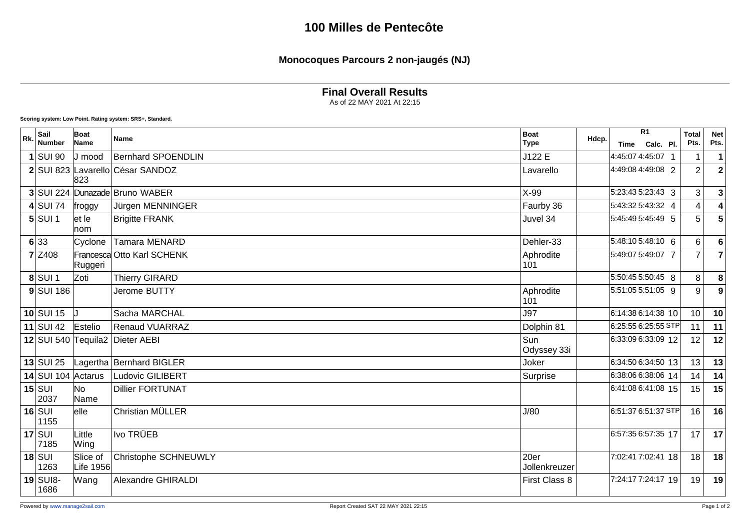### **Monocoques Parcours 2 non-jaugés (NJ)**

**Final Overall Results**

As of 22 MAY 2021 At 22:15

| Rk. | Sail                      | Boat                  | Name                             | <b>Boat</b>           | Hdcp. |                      | R <sub>1</sub> | <b>Total</b>   | <b>Net</b>     |
|-----|---------------------------|-----------------------|----------------------------------|-----------------------|-------|----------------------|----------------|----------------|----------------|
|     | <b>Number</b>             | Name                  |                                  | <b>Type</b>           |       | <b>Time</b>          | Calc. Pl.      | Pts.           | Pts.           |
|     | <b>SUI 90</b>             | J mood                | <b>Bernhard SPOENDLIN</b>        | J122 E                |       | 4:45:07 4:45:07 1    |                |                | 1              |
|     |                           | 823                   | 2 SUI 823 Lavarello César SANDOZ | Lavarello             |       | 4:49:08 4:49:08 2    |                | $\overline{2}$ | $\overline{2}$ |
|     |                           |                       | 3 SUI 224 Dunazade Bruno WABER   | $X-99$                |       | 5:23:43 5:23:43 3    |                | 3              | 3              |
|     | $4$ SUI 74                | froggy                | Jürgen MENNINGER                 | Faurby 36             |       | 5:43:32 5:43:32 4    |                | 4              | 4              |
|     | $5$ $SU11$                | let le<br>lnom.       | <b>Brigitte FRANK</b>            | Juvel 34              |       | 5:45:49 5:45:49 5    |                | 5              | 5              |
|     | 6 33                      | Cyclone               | <b>Tamara MENARD</b>             | Dehler-33             |       | 5:48:105:48:10 6     |                | 6              | 6              |
|     | $7$ Z <sub>408</sub>      | Ruggeri               | Francesca Otto Karl SCHENK       | Aphrodite<br>101      |       | 5:49:07 5:49:07 7    |                | $\overline{7}$ | $\overline{7}$ |
|     | $8$ SUI 1                 | Zoti                  | <b>Thierry GIRARD</b>            |                       |       | 5:50:45 5:50:45 8    |                | 8              | 8              |
|     | $9$ $SUI$ 186             |                       | Jerome BUTTY                     | Aphrodite<br>101      |       | 5:51:05 5:51:05 9    |                | 9              | 9              |
|     | $10$ SUI 15               |                       | Sacha MARCHAL                    | <b>J97</b>            |       | 6:14:38 6:14:38 10   |                | 10             | 10             |
|     | $11$ SUI 42               | Estelio               | <b>Renaud VUARRAZ</b>            | Dolphin 81            |       | 6:25:55 6:25:55 STP  |                | 11             | 11             |
|     |                           |                       | 12 SUI 540 Tequila2 Dieter AEBI  | Sun<br>Odyssey 33i    |       | 6:33:09 6:33:09 12   |                | 12             | 12             |
|     | $13$ SUI 25               |                       | Lagertha   Bernhard BIGLER       | Joker                 |       | 6:34:50 6:34:50 13   |                | 13             | 13             |
|     | 14 SUI 104 Actarus        |                       | <b>Ludovic GILIBERT</b>          | Surprise              |       | 6:38:06 6:38:06 14   |                | 14             | 14             |
|     | $15$ SUI<br>2037          | No<br>Name            | <b>Dillier FORTUNAT</b>          |                       |       | 6:41:08 6:41:08 15   |                | 15             | 15             |
|     | $16$ $\text{SUI}$<br>1155 | $ $ elle              | Christian MÜLLER                 | J/80                  |       | $6:51:376:51:37$ STP |                | 16             | 16             |
|     | $17$ SUI<br>7185          | Little<br>Wing        | Ivo TRÜEB                        |                       |       | 6:57:35 6:57:35 17   |                | 17             | 17             |
|     | $18$ SUI<br>1263          | Slice of<br>Life 1956 | Christophe SCHNEUWLY             | 20er<br>Jollenkreuzer |       | 7:02:41 7:02:41 18   |                | 18             | 18             |
|     | $19$ SUI8-<br>1686        | Wang                  | Alexandre GHIRALDI               | First Class 8         |       | 7:24:17 7:24:17 19   |                | 19             | 19             |